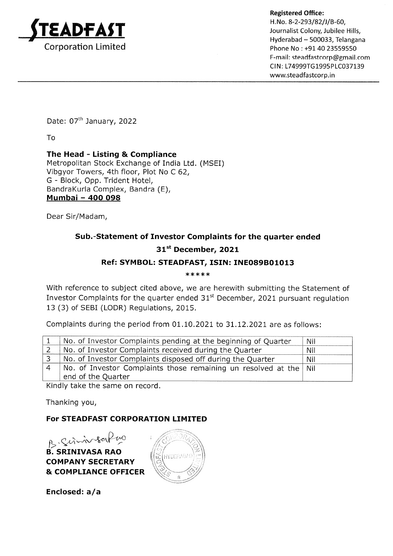

Registered Office: H.No. 8-2-293/82/J/B-60, Journalist Colony, Jubilee Hills, Hyderabad - 500033, Telangana Phone No : +91 40 23559550 F-mail: steadfastcorp@gmail,com CIN: L74999TG1995PLC037139 www.steadfastcorp.in

Date: 07<sup>th</sup> January, 2022

To

The Head - Listing & Compliance

Metropolitan Stock Exchange of India Ltd. (MSEI) Vibgyor Towers, 4th floor, Plot No C 62, G - Block, Opp. Trident Hotel, BandraKurla Complex, Bandra (E), Mumbai - 4OO 098

Dear Sir/Madam,

# Sub.-Statement of Investor Complaints for the quarter ended 31st December, 2021

## Ref: SYMBOL: STEADFAST, ISIN: INEO89BO1O13

\*\*\*\*\*

With reference to subject cited above, we are herewith submitting the Statement of Investor Complaints for the quarter ended  $31<sup>st</sup>$  December, 2021 pursuant regulation <sup>13</sup>(3) of SEBI (LODR) Regulations, 2015.

Complaints during the period from  $01.10.2021$  to  $31.12.2021$  are as follows:

| No. of Investor Complaints pending at the beginning of Quarter                          | Nil |
|-----------------------------------------------------------------------------------------|-----|
| No. of Investor Complaints received during the Quarter                                  | Nil |
| No. of Investor Complaints disposed off during the Quarter                              | Nil |
| No. of Investor Complaints those remaining un resolved at the Nil<br>end of the Quarter |     |
|                                                                                         |     |

Kindly take the same on record.

Thanking you,

### For STEADFAST CORPORATION LIMITED

B. SRINIVASA RAO COMPANY SECRETARY & COMPLIANCE OFFICER ル  $\sim$ 801



Enclosed:  $a/a$